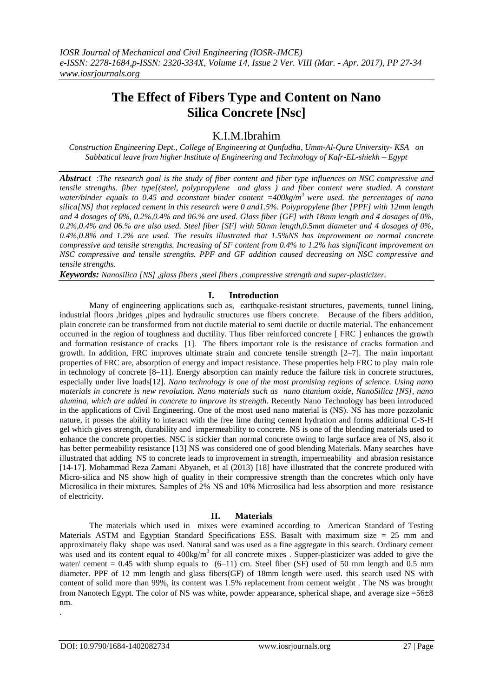# **The Effect of Fibers Type and Content on Nano Silica Concrete [Nsc]**

# K.I.M.Ibrahim

*Construction Engineering Dept., College of Engineering at Qunfudha, Umm-Al-Qura University- KSA on Sabbatical leave from higher Institute of Engineering and Technology of Kafr-EL-shiekh – Egypt*

*Abstract* :*The research goal is the study of fiber content and fiber type influences on NSC compressive and tensile strengths. fiber type[(steel, polypropylene and glass ) and fiber content were studied. A constant water/binder equals to 0.45 and aconstant binder content =400kg/m<sup>3</sup> were used. the percentages of nano silica[NS] that replaced cement in this research were 0 and1.5%. Polypropylene fiber [PPF] with 12mm length and 4 dosages of 0%, 0.2%,0.4% and 06.% are used. Glass fiber [GF] with 18mm length and 4 dosages of 0%, 0.2%,0.4% and 06.% are also used. Steel fiber [SF] with 50mm length,0.5mm diameter and 4 dosages of 0%, 0.4%,0.8% and 1.2% are used. The results illustrated that 1.5%NS has improvement on normal concrete compressive and tensile strengths. Increasing of SF content from 0.4% to 1.2% has significant improvement on NSC compressive and tensile strengths. PPF and GF addition caused decreasing on NSC compressive and tensile strengths.*

Keywords: Nanosilica [NS] ,glass fibers ,steel fibers ,compressive strength and super-plasticizer.

#### **I. Introduction**

Many of engineering applications such as, earthquake-resistant structures, pavements, tunnel lining, industrial floors ,bridges ,pipes and hydraulic structures use fibers concrete. Because of the fibers addition, plain concrete can be transformed from not ductile material to semi ductile or ductile material. The enhancement occurred in the region of toughness and ductility. Thus fiber reinforced concrete [ FRC ] enhances the growth and formation resistance of cracks [1]. The fibers important role is the resistance of cracks formation and growth. In addition, FRC improves ultimate strain and concrete tensile strength [2–7]. The main important properties of FRC are, absorption of energy and impact resistance. These properties help FRC to play main role in technology of concrete [8–11]. Energy absorption can mainly reduce the failure risk in concrete structures, especially under live loads[12]. *Nano technology is one of the most promising regions of science. Using nano materials in concrete is new revolution. Nano materials such as nano titanium oxide, NanoSilica [NS], nano alumina, which are added in concrete to improve its strength*. Recently Nano Technology has been introduced in the applications of Civil Engineering. One of the most used nano material is (NS). NS has more pozzolanic nature, it posses the ability to interact with the free lime during cement hydration and forms additional C-S-H gel which gives strength, durability and impermeability to concrete. NS is one of the blending materials used to enhance the concrete properties. NSC is stickier than normal concrete owing to large surface area of NS, also it has better permeability resistance [13] NS was considered one of good blending Materials. Many searches have illustrated that adding NS to concrete leads to improvement in strength, impermeability and abrasion resistance [14-17]. Mohammad Reza Zamani Abyaneh, et al (2013) [18] have illustrated that the concrete produced with Micro-silica and NS show high of quality in their compressive strength than the concretes which only have Microsilica in their mixtures. Samples of 2% NS and 10% Microsilica had less absorption and more resistance of electricity.

#### **II. Materials**

The materials which used in mixes were examined according to American Standard of Testing Materials ASTM and Egyptian Standard Specifications ESS. Basalt with maximum size  $= 25$  mm and approximately flaky shape was used. Natural sand was used as a fine aggregate in this search. Ordinary cement was used and its content equal to  $400\text{kg/m}^3$  for all concrete mixes . Supper-plasticizer was added to give the water/ cement  $= 0.45$  with slump equals to  $(6-11)$  cm. Steel fiber (SF) used of 50 mm length and 0.5 mm diameter. PPF of 12 mm length and glass fibers(GF) of 18mm length were used. this search used NS with content of solid more than 99%, its content was 1.5% replacement from cement weight . The NS was brought from Nanotech Egypt. The color of NS was white, powder appearance, spherical shape, and average size  $=56\pm8$ nm. .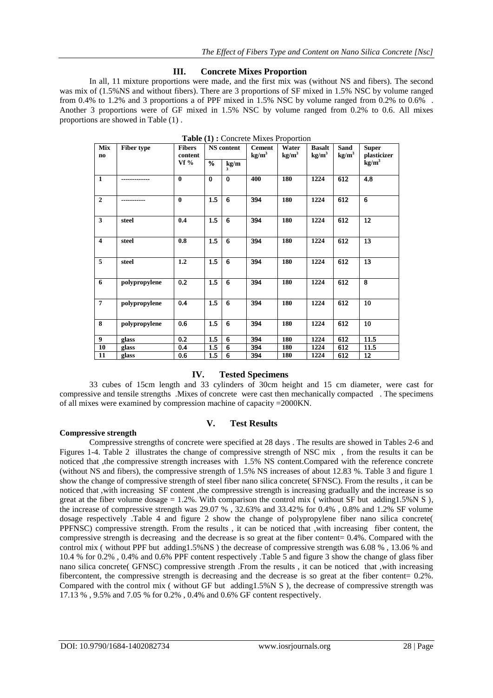#### **III. Concrete Mixes Proportion**

In all, 11 mixture proportions were made, and the first mix was (without NS and fibers). The second was mix of (1.5%NS and without fibers). There are 3 proportions of SF mixed in 1.5% NSC by volume ranged from 0.4% to 1.2% and 3 proportions a of PPF mixed in 1.5% NSC by volume ranged from 0.2% to 0.6% . Another 3 proportions were of GF mixed in 1.5% NSC by volume ranged from 0.2% to 0.6. All mixes proportions are showed in Table (1) .

| Mix<br>$\mathbf{n}$     | <b>Fiber type</b> | <b>Fibers</b><br>content |          | <b>NS</b> content | <b>Cement</b><br>$\text{kg/m}^3$ | Water<br>kg/m <sup>3</sup> | <b>Basalt</b><br>kg/m <sup>3</sup> | Sand<br>kg/m <sup>3</sup> | <b>Super</b><br>plasticizer |
|-------------------------|-------------------|--------------------------|----------|-------------------|----------------------------------|----------------------------|------------------------------------|---------------------------|-----------------------------|
|                         |                   | $Vf\%$                   | %        | kg/m<br>3         |                                  |                            |                                    |                           | kg/m <sup>3</sup>           |
| $\overline{1}$          | ------------      | $\bf{0}$                 | $\bf{0}$ | $\bf{0}$          | 400                              | 180                        | 1224                               | 612                       | 4.8                         |
| $\overline{2}$          |                   | $\mathbf{0}$             | 1.5      | 6                 | 394                              | 180                        | 1224                               | 612                       | 6                           |
| $\overline{\mathbf{3}}$ | steel             | 0.4                      | 1.5      | 6                 | 394                              | 180                        | 1224                               | 612                       | 12                          |
| $\overline{4}$          | steel             | 0.8                      | 1.5      | 6                 | 394                              | 180                        | 1224                               | 612                       | 13                          |
| $\overline{5}$          | steel             | 1.2                      | 1.5      | 6                 | 394                              | 180                        | 1224                               | 612                       | 13                          |
| $\overline{6}$          | polypropylene     | $\overline{0.2}$         | 1.5      | 6                 | 394                              | 180                        | 1224                               | 612                       | $\overline{\mathbf{g}}$     |
| $\overline{7}$          | polypropylene     | 0.4                      | 1.5      | 6                 | 394                              | 180                        | 1224                               | 612                       | 10                          |
| 8                       | polypropylene     | 0.6                      | 1.5      | 6                 | 394                              | 180                        | 1224                               | 612                       | 10                          |
| $\boldsymbol{9}$        | glass             | 0.2                      | 1.5      | 6                 | 394                              | 180                        | 1224                               | 612                       | 11.5                        |
| 10                      | glass             | 0.4                      | 1.5      | 6                 | 394                              | 180                        | 1224                               | 612                       | 11.5                        |
| 11                      | glass             | 0.6                      | 1.5      | 6                 | 394                              | 180                        | 1224                               | 612                       | 12                          |

|  |  | <b>Table (1):</b> Concrete Mixes Proportion |  |
|--|--|---------------------------------------------|--|
|  |  |                                             |  |

## **IV. Tested Specimens**

33 cubes of 15cm length and 33 cylinders of 30cm height and 15 cm diameter, were cast for compressive and tensile strengths .Mixes of concrete were cast then mechanically compacted . The specimens of all mixes were examined by compression machine of capacity =2000KN.

#### **Compressive strength**

#### **V. Test Results**

Compressive strengths of concrete were specified at 28 days . The results are showed in Tables 2-6 and Figures 1-4. Table 2 illustrates the change of compressive strength of NSC mix , from the results it can be noticed that ,the compressive strength increases with 1.5% NS content.Compared with the reference concrete (without NS and fibers), the compressive strength of 1.5% NS increases of about 12.83 %. Table 3 and figure 1 show the change of compressive strength of steel fiber nano silica concrete( SFNSC). From the results , it can be noticed that ,with increasing SF content ,the compressive strength is increasing gradually and the increase is so great at the fiber volume dosage = 1.2%. With comparison the control mix ( without SF but adding1.5%N S), the increase of compressive strength was 29.07 % , 32.63% and 33.42% for 0.4% , 0.8% and 1.2% SF volume dosage respectively .Table 4 and figure 2 show the change of polypropylene fiber nano silica concrete( PPFNSC) compressive strength. From the results , it can be noticed that ,with increasing fiber content, the compressive strength is decreasing and the decrease is so great at the fiber content= 0.4%. Compared with the control mix ( without PPF but adding1.5%NS ) the decrease of compressive strength was 6.08 % , 13.06 % and 10.4 % for 0.2% , 0.4% and 0.6% PPF content respectively .Table 5 and figure 3 show the change of glass fiber nano silica concrete( GFNSC) compressive strength .From the results , it can be noticed that ,with increasing fibercontent, the compressive strength is decreasing and the decrease is so great at the fiber content=  $0.2\%$ . Compared with the control mix ( without GF but adding1.5%N S ), the decrease of compressive strength was 17.13 % , 9.5% and 7.05 % for 0.2% , 0.4% and 0.6% GF content respectively.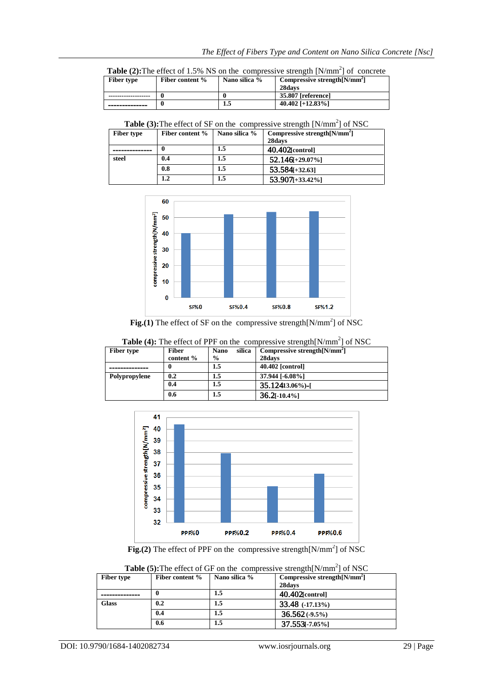|            |                                       | <b>Table (2):</b> The effect of 1.5% NS on the compressive strength $[N/mm^2]$ of concrete |
|------------|---------------------------------------|--------------------------------------------------------------------------------------------|
| Fiber type | Fiber content $\%$   Nano silica $\%$ | $\Gamma$ Compressive strepoth $\Gamma$ M/mm <sup>2</sup> l                                 |

| <b>Fiber type</b> | Fiber content % | Nano silica % | Compressive strength [N/mm <sup>2</sup> ]<br>28davs |
|-------------------|-----------------|---------------|-----------------------------------------------------|
|                   |                 |               | 35.807 [reference]                                  |
| ------------      |                 | 1.5           | 40.402 [+12.83%]                                    |

**Table (3): The effect of SF on the compressive strength**  $[N/mm^2]$  **of NSC** 

| <b>Fiber type</b> | Fiber content % | Nano silica % | Compressive strength $[N/mm^2]$ |
|-------------------|-----------------|---------------|---------------------------------|
|                   |                 |               | 28days                          |
|                   | 0               | 1.5           | 40.402[control]                 |
| steel             | 0.4             | 1.5           | $52.146[-29.07\%]$              |
|                   | 0.8             | 1.5           | $53.584 + 32.63$                |
|                   | 1.2             | 1.5           | $53.907_{[+33.42\%]}$           |



Fig.(1) The effect of SF on the compressive strength $[N/mm^2]$  of NSC

| <b>Table (4):</b> The effect of PPF on the compressive strength $[N/mm^2]$ of NSC |              |                       |                                 |  |  |  |
|-----------------------------------------------------------------------------------|--------------|-----------------------|---------------------------------|--|--|--|
| <b>Fiber type</b>                                                                 | <b>Fiber</b> | silica<br><b>Nano</b> | Compressive strength $[N/mm^2]$ |  |  |  |
|                                                                                   | content %    | $\frac{0}{0}$         | 28days                          |  |  |  |
|                                                                                   |              | 1.5                   | 40.402 [control]                |  |  |  |
| Polypropylene                                                                     | 0.2          | 1.5                   | 37.944 [-6.08%]                 |  |  |  |
|                                                                                   | 0.4          | 1.5                   | 35.12413.06%)-[                 |  |  |  |
|                                                                                   | 0.6          | 1.5                   | $36.2[-10.4\%]$                 |  |  |  |



**Fig.(2)** The effect of PPF on the compressive strength[N/mm<sup>2</sup>] of NSC

|                   | <b>Table (3).</b> The effect of Or on the complessive sueliging full   01 insc |               |                                 |  |  |
|-------------------|--------------------------------------------------------------------------------|---------------|---------------------------------|--|--|
| <b>Fiber type</b> | Fiber content %                                                                | Nano silica % | Compressive strength $[N/mm^2]$ |  |  |
|                   |                                                                                |               | 28days                          |  |  |
|                   |                                                                                | 1.5           | $40.402$ [control]              |  |  |
| <b>Glass</b>      | 0.2                                                                            | 1.5           | $33.48$ $(-17.13\%)$            |  |  |
|                   | 0.4                                                                            | 1.5           | $36.562(-9.5%)$                 |  |  |
|                   | 0.6                                                                            | 1.5           | $37.553$ [-7.05%]               |  |  |

**Table (5): The effect of GF on the compressive strength**  $[N/mm^2]$  **of NSC**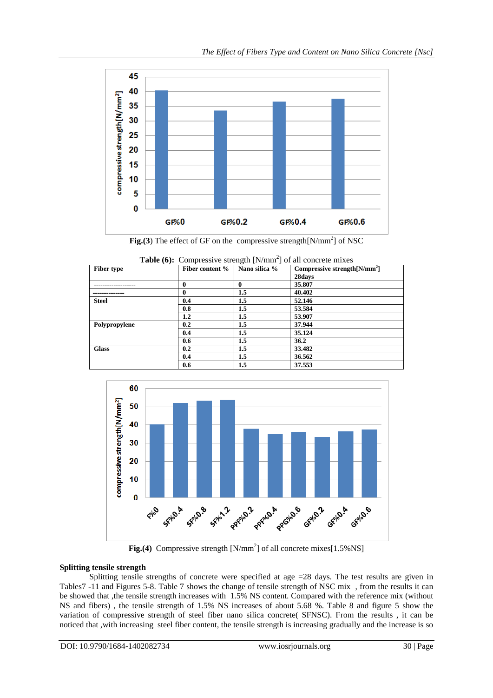

Fig.(3) The effect of GF on the compressive strength $[N/mm^2]$  of NSC

| Fiber type    | Fiber content % | Nano silica % | <b>Table (0):</b> Compressive strength [N/min] of all concrete mixes<br>Compressive strength $[N/mm^2]$ |
|---------------|-----------------|---------------|---------------------------------------------------------------------------------------------------------|
|               |                 |               | 28days                                                                                                  |
|               | 0               |               | 35.807                                                                                                  |
|               | 0               | 1.5           | 40.402                                                                                                  |
| <b>Steel</b>  | 0.4             | 1.5           | 52.146                                                                                                  |
|               | 0.8             | 1.5           | 53.584                                                                                                  |
|               | $1.2\,$         | 1.5           | 53,907                                                                                                  |
| Polypropylene | 0.2             | $1.5\,$       | 37.944                                                                                                  |
|               | 0.4             | 1.5           | 35.124                                                                                                  |
|               | 0.6             | 1.5           | 36.2                                                                                                    |
| <b>Glass</b>  | 0.2             | 1.5           | 33.482                                                                                                  |
|               | 0.4             | 1.5           | 36.562                                                                                                  |
|               | 0.6             | $1.5\,$       | 37.553                                                                                                  |

Table (6): Compressive strength [N/m  $^{2}$ l of all



**Fig.(4)** Compressive strength  $[N/mm^2]$  of all concrete mixes $[1.5\%$  NS]

## **Splitting tensile strength**

Splitting tensile strengths of concrete were specified at age  $=28$  days. The test results are given in Tables7 -11 and Figures 5-8. Table 7 shows the change of tensile strength of NSC mix , from the results it can be showed that ,the tensile strength increases with 1.5% NS content. Compared with the reference mix (without NS and fibers) , the tensile strength of 1.5% NS increases of about 5.68 %. Table 8 and figure 5 show the variation of compressive strength of steel fiber nano silica concrete( SFNSC). From the results , it can be noticed that ,with increasing steel fiber content, the tensile strength is increasing gradually and the increase is so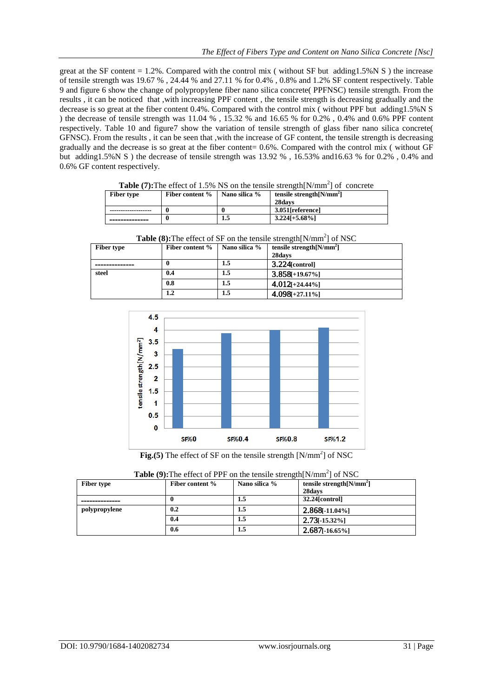great at the SF content  $= 1.2\%$ . Compared with the control mix ( without SF but adding1.5%N S) the increase of tensile strength was 19.67 % , 24.44 % and 27.11 % for 0.4% , 0.8% and 1.2% SF content respectively. Table 9 and figure 6 show the change of polypropylene fiber nano silica concrete( PPFNSC) tensile strength. From the results , it can be noticed that ,with increasing PPF content , the tensile strength is decreasing gradually and the decrease is so great at the fiber content 0.4%. Compared with the control mix ( without PPF but adding1.5%N S ) the decrease of tensile strength was 11.04 % , 15.32 % and 16.65 % for 0.2% , 0.4% and 0.6% PPF content respectively. Table 10 and figure7 show the variation of tensile strength of glass fiber nano silica concrete( GFNSC). From the results , it can be seen that ,with the increase of GF content, the tensile strength is decreasing gradually and the decrease is so great at the fiber content= 0.6%. Compared with the control mix ( without GF but adding1.5%N S ) the decrease of tensile strength was 13.92 % , 16.53% and16.63 % for 0.2% , 0.4% and 0.6% GF content respectively.

|                   | <b>THEIR CHANGE OF 1.3 70 TAD ON THE REMAIN SHARE IN THEIR FOR CONCRETE</b> |               |                             |  |  |  |  |
|-------------------|-----------------------------------------------------------------------------|---------------|-----------------------------|--|--|--|--|
| <b>Fiber type</b> | Fiber content %                                                             | Nano silica % | tensile strength $[N/mm^2]$ |  |  |  |  |
|                   |                                                                             |               | 28davs                      |  |  |  |  |
|                   |                                                                             |               | 3.051[reference]            |  |  |  |  |
|                   |                                                                             | 1.5           | $3.2241 + 5.68\%$           |  |  |  |  |

**Table (7):** The effect of 1.5% NS on the tensile strength $[N/mm^2]$  of concrete

| <b>Table (8):</b> The effect of SF on the tensile strength $[N/mm^2]$ of NSC |                 |               |                             |  |  |
|------------------------------------------------------------------------------|-----------------|---------------|-----------------------------|--|--|
| <b>Fiber type</b>                                                            | Fiber content % | Nano silica % | tensile strength $[N/mm^2]$ |  |  |
|                                                                              |                 |               | 28days                      |  |  |
|                                                                              |                 | 1.5           | $3.224$ [control]           |  |  |
| steel                                                                        | 0.4             | 1.5           | $3.858[+19.67\%]$           |  |  |
|                                                                              | 0.8             | $1.5\,$       | $4.012[-24.44\%]$           |  |  |
|                                                                              | 1.2             | $1.5\,$       | $4.098[-27.11\%]$           |  |  |

 $4.5$  $\overline{4}$ censile strength [N/mm<sup>2</sup>]  $3.5$ 3  $2.5$  $\overline{2}$  $1.5$  $\overline{1}$  $0.5$  $\mathbf 0$ **SF%0 SF%0.4 SF%0.8 SF%1.2** 

Fig.(5) The effect of SF on the tensile strength [N/mm<sup>2</sup>] of NSC

| <b>Table (9):</b> The effect of PPF on the tensile strength $N/mm$ of NSC |                 |               |                             |  |  |  |
|---------------------------------------------------------------------------|-----------------|---------------|-----------------------------|--|--|--|
| <b>Fiber type</b>                                                         | Fiber content % | Nano silica % | tensile strength $[N/mm^2]$ |  |  |  |
|                                                                           |                 |               | 28davs                      |  |  |  |
|                                                                           |                 | 1.5           | $32.24$ [control]           |  |  |  |
| polypropylene                                                             | 0.2             | 1.5           | $2.868$ [-11.04%]           |  |  |  |
|                                                                           | 0.4             | 1.5           | $2.73[-15.32\%]$            |  |  |  |
|                                                                           | 0.6             | 1.5           | $2.687$ [-16.65%]           |  |  |  |

| <b>Table (9):</b> The effect of PPF on the tensile strength $[N/mm^2]$ of NSC |  |  |  |  |  |  |  |  |  |
|-------------------------------------------------------------------------------|--|--|--|--|--|--|--|--|--|
|-------------------------------------------------------------------------------|--|--|--|--|--|--|--|--|--|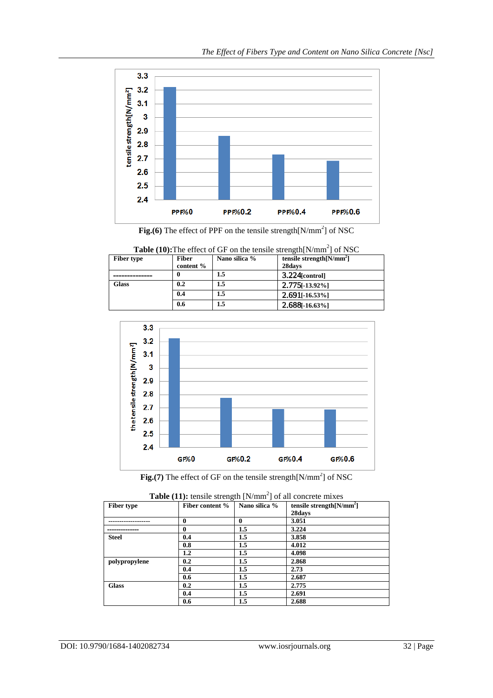

Fig.(6) The effect of PPF on the tensile strength[N/mm<sup>2</sup>] of NSC

**Table (10):** The effect of GF on the tensile strength $[N/mm^2]$  of NSC

| <b>Fiber type</b> | <b>Fiber</b> | Nano silica % | tensile strength $[N/mm^2]$ |  |
|-------------------|--------------|---------------|-----------------------------|--|
|                   | content %    |               | 28days                      |  |
|                   | 0            | 1.5           | $3.224$ [control]           |  |
| <b>Glass</b>      | 0.2          | 1.5           | $2.775$ [-13.92%]           |  |
|                   | 0.4          | 1.5           | $2.691$ [-16.53%]           |  |
|                   | 0.6          | 1.5           | $2.688[-16.63\%]$           |  |



Fig.(7) The effect of GF on the tensile strength[N/mm<sup>2</sup>] of NSC

| <b>Table (11).</b> Clistic strength [IV/IIIII] of all concrete finates |                 |               |                             |  |  |  |  |
|------------------------------------------------------------------------|-----------------|---------------|-----------------------------|--|--|--|--|
| <b>Fiber type</b>                                                      | Fiber content % | Nano silica % | tensile strength $[N/mm^2]$ |  |  |  |  |
|                                                                        |                 |               | 28days                      |  |  |  |  |
|                                                                        | $\mathbf 0$     | 0             | 3.051                       |  |  |  |  |
|                                                                        | $\mathbf{0}$    | 1.5           | 3.224                       |  |  |  |  |
| <b>Steel</b>                                                           | 0.4             | 1.5           | 3.858                       |  |  |  |  |
|                                                                        | 0.8             | $1.5\,$       | 4.012                       |  |  |  |  |
|                                                                        | 1.2             | 1.5           | 4.098                       |  |  |  |  |
| polypropylene                                                          | 0.2             | $1.5\,$       | 2.868                       |  |  |  |  |
|                                                                        | 0.4             | 1.5           | 2.73                        |  |  |  |  |
|                                                                        | 0.6             | $1.5\,$       | 2.687                       |  |  |  |  |
| <b>Glass</b>                                                           | 0.2             | 1.5           | 2.775                       |  |  |  |  |
|                                                                        | 0.4             | 1.5           | 2.691                       |  |  |  |  |
|                                                                        | 0.6             | 1.5           | 2.688                       |  |  |  |  |

| <b>Table (11):</b> tensile strength $[N/mm^2]$ of all concrete mixes |  |  |
|----------------------------------------------------------------------|--|--|
|                                                                      |  |  |
|                                                                      |  |  |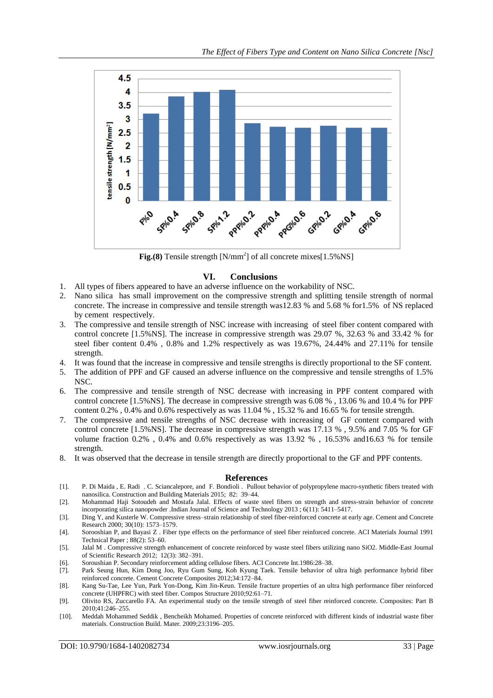

Fig.(8) Tensile strength [N/mm<sup>2</sup>] of all concrete mixes[1.5%NS]

#### **VI. Conclusions**

- 1. All types of fibers appeared to have an adverse influence on the workability of NSC.
- 2. Nano silica has small improvement on the compressive strength and splitting tensile strength of normal concrete. The increase in compressive and tensile strength was12.83 % and 5.68 % for1.5% of NS replaced by cement respectively.
- 3. The compressive and tensile strength of NSC increase with increasing of steel fiber content compared with control concrete [1.5%NS]. The increase in compressive strength was 29.07 %, 32.63 % and 33.42 % for steel fiber content 0.4% , 0.8% and 1.2% respectively as was 19.67%, 24.44% and 27.11% for tensile strength.
- 4. It was found that the increase in compressive and tensile strengths is directly proportional to the SF content.
- 5. The addition of PPF and GF caused an adverse influence on the compressive and tensile strengths of 1.5% NSC.
- 6. The compressive and tensile strength of NSC decrease with increasing in PPF content compared with control concrete [1.5%NS]. The decrease in compressive strength was 6.08 % , 13.06 % and 10.4 % for PPF content 0.2% , 0.4% and 0.6% respectively as was 11.04 % , 15.32 % and 16.65 % for tensile strength.
- 7. The compressive and tensile strengths of NSC decrease with increasing of GF content compared with control concrete [1.5%NS]. The decrease in compressive strength was 17.13 % , 9.5% and 7.05 % for GF volume fraction 0.2% , 0.4% and 0.6% respectively as was 13.92 % , 16.53% and16.63 % for tensile strength.
- 8. It was observed that the decrease in tensile strength are directly proportional to the GF and PPF contents.

#### **References**

- [1]. P. Di Maida , E. Radi , C. Sciancalepore, and F. Bondioli . Pullout behavior of polypropylene macro-synthetic fibers treated with nanosilica. Construction and Building Materials 2015; 82: 39–44.
- [2]. Mohammad Haji Sotoudeh and Mostafa Jalal. Effects of waste steel fibers on strength and stress-strain behavior of concrete incorporating silica nanopowder .Indian Journal of Science and Technology 2013 ; 6(11): 5411–5417.
- [3]. Ding Y, and Kusterle W. Compressive stress–strain relationship of steel fiber-reinforced concrete at early age. Cement and Concrete Research 2000; 30(10): 1573–1579.
- [4]. Sorooshian P, and Bayasi Z . Fiber type effects on the performance of steel fiber reinforced concrete. ACI Materials Journal 1991 Technical Paper ; 88(2): 53–60.
- [5]. Jalal M . Compressive strength enhancement of concrete reinforced by waste steel fibers utilizing nano SiO2. Middle-East Journal of Scientific Research 2012; 12(3): 382–391.
- [6]. Soroushian P. Secondary reinforcement adding cellulose fibers. ACI Concrete Int.1986:28–38.
- Park Seung Hun, Kim Dong Joo, Ryu Gum Sung, Koh Kyung Taek. Tensile behavior of ultra high performance hybrid fiber reinforced concrete. Cement Concrete Composites 2012;34:172–84.
- [8]. Kang Su-Tae, Lee Yun, Park Yon-Dong, Kim Jin-Keun. Tensile fracture properties of an ultra high performance fiber reinforced concrete (UHPFRC) with steel fiber. Compos Structure 2010;92:61–71.
- [9]. Olivito RS, Zuccarello FA. An experimental study on the tensile strength of steel fiber reinforced concrete. Composites: Part B 2010;41:246–255.
- [10]. Meddah Mohammed Seddik , Bencheikh Mohamed. Properties of concrete reinforced with different kinds of industrial waste fiber materials. Construction Build. Mater. 2009;23:3196–205.